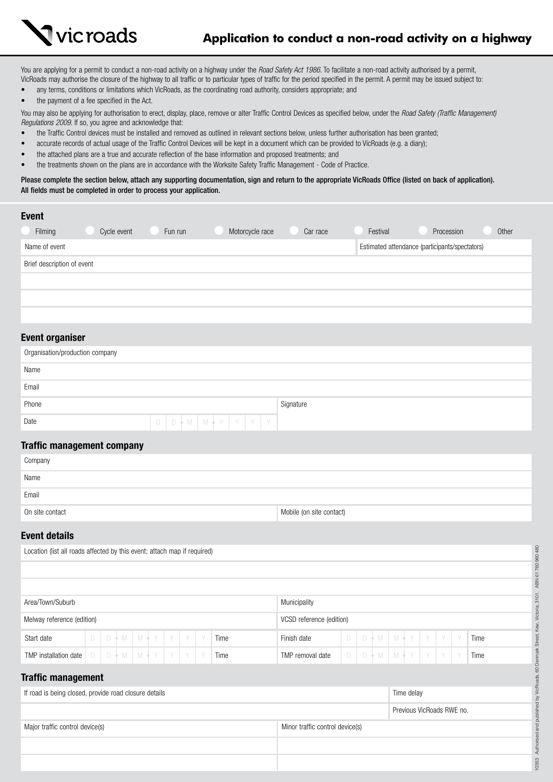

You are applying for a permit to conduct a non-road activity on a highway under the *Road Safety Act 1986*. To facilitate a non-road activity authorised by a permit, VicRoads may authorise the closure of the highway to all traffic or to particular types of traffic for the period specified in the permit. A permit may be issued subject to:

- any terms, conditions or limitations which VicRoads, as the coordinating road authority, considers appropriate; and
- the payment of a fee specified in the Act.

You may also be applying for authorisation to erect, display, place, remove or alter Traffic Control Devices as specified below, under the *Road Safety (Traffic Management) Regulations 2009*. If so, you agree and acknowledge that:

- the Traffic Control devices must be installed and removed as outlined in relevant sections below, unless further authorisation has been granted;
- accurate records of actual usage of the Traffic Control Devices will be kept in a document which can be provided to VicRoads (e.g. a diary);
- the attached plans are a true and accurate reflection of the base information and proposed treatments; and
- the treatments shown on the plans are in accordance with the Worksite Safety Traffic Management Code of Practice.

Please complete the section below, attach any supporting documentation, sign and return to the appropriate VicRoads Office (listed on back of application). All fields must be completed in order to process your application.

| <b>Event</b><br>Filming    | Cycle event | Fun run | Motorcycle race | Car race | Festival | Procession                                     | Other |
|----------------------------|-------------|---------|-----------------|----------|----------|------------------------------------------------|-------|
| Name of event              |             |         |                 |          |          | Estimated attendance (participants/spectators) |       |
| Brief description of event |             |         |                 |          |          |                                                |       |
|                            |             |         |                 |          |          |                                                |       |
|                            |             |         |                 |          |          |                                                |       |
|                            |             |         |                 |          |          |                                                |       |

# Event organiser

| Organisation/production company       |           |  |  |  |  |  |  |  |  |  |
|---------------------------------------|-----------|--|--|--|--|--|--|--|--|--|
| Name                                  |           |  |  |  |  |  |  |  |  |  |
| Email                                 |           |  |  |  |  |  |  |  |  |  |
| Phone                                 | Signature |  |  |  |  |  |  |  |  |  |
| D D + M   M + Y   Y   Y   Y  <br>Date |           |  |  |  |  |  |  |  |  |  |

## Traffic management company

| Company         |                          |
|-----------------|--------------------------|
| Name            |                          |
| Email           |                          |
| On site contact | Mobile (on site contact) |

## Event details

| 960480<br>Location (list all roads affected by this event; attach map if required) |        |  |                 |  |  |                          |                         |            |                                 |                  |   |  |                           |  |   |  |   |   |      |
|------------------------------------------------------------------------------------|--------|--|-----------------|--|--|--------------------------|-------------------------|------------|---------------------------------|------------------|---|--|---------------------------|--|---|--|---|---|------|
|                                                                                    |        |  |                 |  |  |                          |                         |            |                                 |                  |   |  |                           |  |   |  |   |   |      |
|                                                                                    |        |  |                 |  |  |                          |                         |            |                                 |                  |   |  |                           |  |   |  |   |   |      |
| Area/Town/Suburb<br>Municipality                                                   |        |  |                 |  |  |                          |                         |            |                                 |                  |   |  |                           |  |   |  |   |   |      |
| Melway reference (edition)                                                         |        |  |                 |  |  | VCSD reference (edition) |                         |            |                                 |                  |   |  |                           |  |   |  |   |   |      |
| Start date                                                                         | D      |  |                 |  |  |                          | $D + M$ $M + Y$ $Y$ $Y$ |            | Time                            | Finish date      | D |  | $D + M$ $M + Y$ $Y$       |  |   |  | Y | Y | Time |
| TMP installation date                                                              | $\Box$ |  | $D + M$ $M + Y$ |  |  | Y                        |                         | Y          | Time                            | TMP removal date |   |  | $D   D \nmid M   M \nmid$ |  | Y |  |   | Y | Time |
| Denmark<br><b>Traffic management</b>                                               |        |  |                 |  |  |                          |                         |            |                                 |                  |   |  |                           |  |   |  |   |   |      |
| If road is being closed, provide road closure details                              |        |  |                 |  |  |                          |                         | Time delay |                                 |                  |   |  |                           |  |   |  |   |   |      |
|                                                                                    |        |  |                 |  |  |                          |                         |            | Previous VicRoads RWE no.       |                  |   |  |                           |  |   |  |   |   |      |
| Major traffic control device(s)                                                    |        |  |                 |  |  |                          |                         |            | Minor traffic control device(s) |                  |   |  |                           |  |   |  |   |   |      |
|                                                                                    |        |  |                 |  |  |                          |                         |            |                                 |                  |   |  |                           |  |   |  |   |   |      |
|                                                                                    |        |  |                 |  |  |                          |                         |            |                                 |                  |   |  |                           |  |   |  |   |   |      |